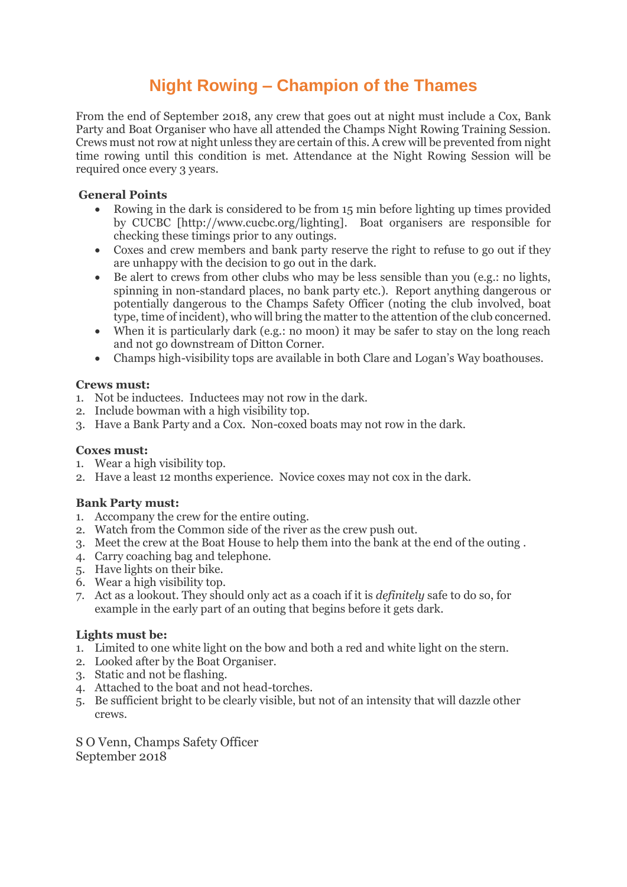# **Night Rowing – Champion of the Thames**

From the end of September 2018, any crew that goes out at night must include a Cox, Bank Party and Boat Organiser who have all attended the Champs Night Rowing Training Session. Crews must not row at night unless they are certain of this. A crew will be prevented from night time rowing until this condition is met. Attendance at the Night Rowing Session will be required once every 3 years.

## **General Points**

- Rowing in the dark is considered to be from 15 min before lighting up times provided by CUCBC [http://www.cucbc.org/lighting]. Boat organisers are responsible for checking these timings prior to any outings.
- Coxes and crew members and bank party reserve the right to refuse to go out if they are unhappy with the decision to go out in the dark.
- Be alert to crews from other clubs who may be less sensible than you (e.g.: no lights, spinning in non-standard places, no bank party etc.). Report anything dangerous or potentially dangerous to the Champs Safety Officer (noting the club involved, boat type, time of incident), who will bring the matter to the attention of the club concerned.
- When it is particularly dark (e.g.: no moon) it may be safer to stay on the long reach and not go downstream of Ditton Corner.
- Champs high-visibility tops are available in both Clare and Logan's Way boathouses.

## **Crews must:**

- 1. Not be inductees. Inductees may not row in the dark.
- 2. Include bowman with a high visibility top.
- 3. Have a Bank Party and a Cox. Non-coxed boats may not row in the dark.

#### **Coxes must:**

- 1. Wear a high visibility top.
- 2. Have a least 12 months experience. Novice coxes may not cox in the dark.

#### **Bank Party must:**

- 1. Accompany the crew for the entire outing.
- 2. Watch from the Common side of the river as the crew push out.
- 3. Meet the crew at the Boat House to help them into the bank at the end of the outing .
- 4. Carry coaching bag and telephone.
- 5. Have lights on their bike.
- 6. Wear a high visibility top.
- 7. Act as a lookout. They should only act as a coach if it is *definitely* safe to do so, for example in the early part of an outing that begins before it gets dark.

#### **Lights must be:**

- 1. Limited to one white light on the bow and both a red and white light on the stern.
- 2. Looked after by the Boat Organiser.
- 3. Static and not be flashing.
- 4. Attached to the boat and not head-torches.
- 5. Be sufficient bright to be clearly visible, but not of an intensity that will dazzle other crews.

S O Venn, Champs Safety Officer September 2018